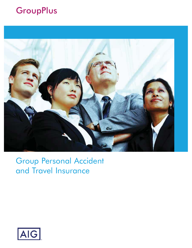# **GroupPlus**



## Group Personal Accident and Travel Insurance

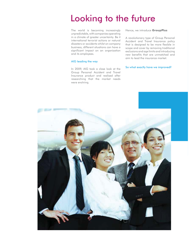# Looking to the future

The world is becoming increasingly unpredictable, with companies operating in a climate of greater uncertainty. Be it international terrorist actions or natural disasters or accidents whilst on company business, different situations can have a significant impact on an organization and its employees.

#### AIG leading the way

In 2009, AIG took a close look at the Group Personal Accident and Travel Insurance product and realised after researching that the market needs were evolving.

Hence, we introduce **GroupPlus**

A revolutionary type of Group Personal Accident and Travel Insurance policy that is designed to be more flexible in scope and cover by removing traditional exclusions and age limits and introducing new benefits that are unmatched and aim to lead the insurance market.

#### So what exactly have we improved?

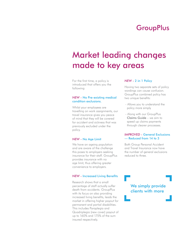## **GroupPlus**

# Market leading changes made to key areas

For the first time, a policy is introduced that offers you the following:

## *NEW* - No Pre-existing medical condition exclusions.

Whilst your employees are travelling on work assignments, our travel insurance gives you peace of mind that they will be covered for accident and sickness that was previously excluded under the policy.

### *NEW* - No Age Limit

We have an ageing population and are aware of the challenge this poses to employers seeking insurance for their staff. GroupPlus provides insurance with no age limit, thus offering greater convenience to employers.

### *NEW* - Increased Living Benefits

Research shows that a small percentage of staff actually suffer death from accidents. GroupPlus with its focus on also providing increased living benefits, leads the market in offering higher payout for permanent and partial disabilities. This includes Paraplegia and Quadriplegia (new cover) payout of up to 160% and 175% of the sum insured respectively.

### *NEW* - 2 in 1 Policy

Having two separate sets of policy wordings can cause confusion. GroupPlus combined policy has two unique benefits:

- Allows you to understand the policy more simply
- Along with our GroupPlus Claims Guide – we aim to speed up claims payments through clearer processes.

### *IMPROVED* - General Exclusions — Reduced from 14 to 3

Both Group Personal Accident and Travel Insurance now have the number of general exclusions reduced to three.

## We simply provide clients with more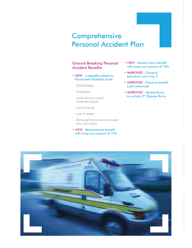## **Comprehensive** Personal Accident Plan

## Ground Breaking Personal Accident Benefits

- NEW 6 benefits added to Permanent Disability Scale:
- Quadriplegia
- Paraplegia
- Lower jaw by surgical treatment payout
- Loss of kidney
- Loss of spleen
- Permanent facial scarring longer than 5cm/10cm
- **NEW Bereavement benefit** with lump sum payout of 10%
- **NEW Severe Injury benefit** with lump sum payout of 10%
- **IMPROVED** General exclusions now only 3
- **IMPROVED** Fracture benefit scale enhanced
- *IMPROVED* Severe Burns to include 2nd Degree Burns

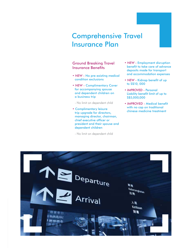## Comprehensive Travel Insurance Plan

## Ground Breaking Travel Insurance Benefits

- NEW No pre-existing medical condition exclusions
- **NEW Complimentary Cover** for accompanying spouse and dependent children on a business trip
- No limit on dependent child
- **Complimentary leisure** trip upgrade for directors, managing director, chairman, chief executive officer or president and their spouse and dependent children
- No limit on dependent child
- NEW Employment disruption benefit to take care of advance deposits made for transport and accommodation expenses
- NEW Kidnap benefit of up to S\$10, 000
- **IMPROVED Personal** Liability benefit limit of up to S\$5,000,000
- **IMPROVED Medical benefit** with no cap on traditional chinese medicine treatment

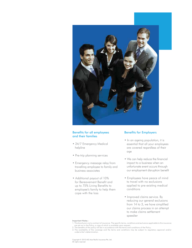

## Benefits for all employees and their families

- 24/7 Emergency Medical helpline
- Pre-trip planning services
- Emergency message relay from travelling employee to family and business associates
- Additional payout of 10% for Bereavement Benefit and up to 75% Living Benefits to employee's family to help them cope with the loss

## Benefits for Employers

- In an ageing population, it is essential that all your employees are covered regardless of their age
- We can help reduce the financial impact to a business when an unfortunate event occurs through our employment disruption benefit
- Employees have peace of mind to travel with no exclusions applied to pre-existing medical conditions
- Improved claims service. By reducing our general exclusions from 14 to 3, we have simplified our claims process in an attempt to make claims settlement speedier

#### Important Notes :

1. This brochure is not a contract of insurance. The specific terms, conditions and exclusions applicable to this insurance

are set out in the Policy, a copy of which is available upon request.<br>2. The benefits of this policy will be in accordance with the terms and conditions of the Policy.

<sup>3.</sup> The availability of the coverage and the terms and conditions may be subject to regulatory approval and/or underwriter's determination.